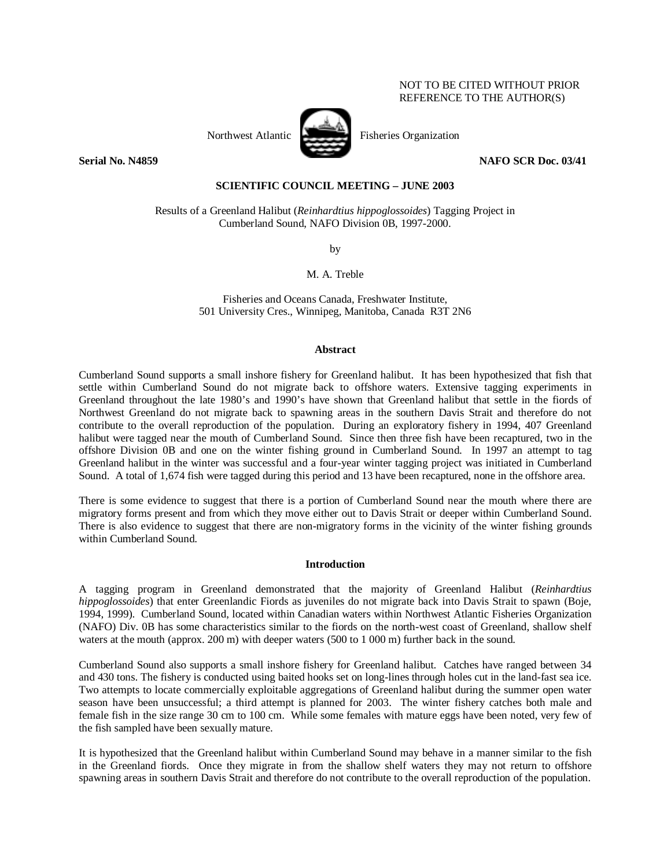# NOT TO BE CITED WITHOUT PRIOR REFERENCE TO THE AUTHOR(S)



Northwest Atlantic Fisheries Organization

**Serial No. N4859 NAFO SCR Doc. 03/41** 

# **SCIENTIFIC COUNCIL MEETING – JUNE 2003**

Results of a Greenland Halibut (*Reinhardtius hippoglossoides*) Tagging Project in Cumberland Sound, NAFO Division 0B, 1997-2000.

by

M. A. Treble

Fisheries and Oceans Canada, Freshwater Institute, 501 University Cres., Winnipeg, Manitoba, Canada R3T 2N6

### **Abstract**

Cumberland Sound supports a small inshore fishery for Greenland halibut. It has been hypothesized that fish that settle within Cumberland Sound do not migrate back to offshore waters. Extensive tagging experiments in Greenland throughout the late 1980's and 1990's have shown that Greenland halibut that settle in the fiords of Northwest Greenland do not migrate back to spawning areas in the southern Davis Strait and therefore do not contribute to the overall reproduction of the population. During an exploratory fishery in 1994, 407 Greenland halibut were tagged near the mouth of Cumberland Sound. Since then three fish have been recaptured, two in the offshore Division 0B and one on the winter fishing ground in Cumberland Sound. In 1997 an attempt to tag Greenland halibut in the winter was successful and a four-year winter tagging project was initiated in Cumberland Sound. A total of 1,674 fish were tagged during this period and 13 have been recaptured, none in the offshore area.

There is some evidence to suggest that there is a portion of Cumberland Sound near the mouth where there are migratory forms present and from which they move either out to Davis Strait or deeper within Cumberland Sound. There is also evidence to suggest that there are non-migratory forms in the vicinity of the winter fishing grounds within Cumberland Sound.

## **Introduction**

A tagging program in Greenland demonstrated that the majority of Greenland Halibut (*Reinhardtius hippoglossoides*) that enter Greenlandic Fiords as juveniles do not migrate back into Davis Strait to spawn (Boje, 1994, 1999). Cumberland Sound, located within Canadian waters within Northwest Atlantic Fisheries Organization (NAFO) Div. 0B has some characteristics similar to the fiords on the north-west coast of Greenland, shallow shelf waters at the mouth (approx. 200 m) with deeper waters (500 to 1 000 m) further back in the sound.

Cumberland Sound also supports a small inshore fishery for Greenland halibut. Catches have ranged between 34 and 430 tons. The fishery is conducted using baited hooks set on long-lines through holes cut in the land-fast sea ice. Two attempts to locate commercially exploitable aggregations of Greenland halibut during the summer open water season have been unsuccessful; a third attempt is planned for 2003. The winter fishery catches both male and female fish in the size range 30 cm to 100 cm. While some females with mature eggs have been noted, very few of the fish sampled have been sexually mature.

It is hypothesized that the Greenland halibut within Cumberland Sound may behave in a manner similar to the fish in the Greenland fiords. Once they migrate in from the shallow shelf waters they may not return to offshore spawning areas in southern Davis Strait and therefore do not contribute to the overall reproduction of the population.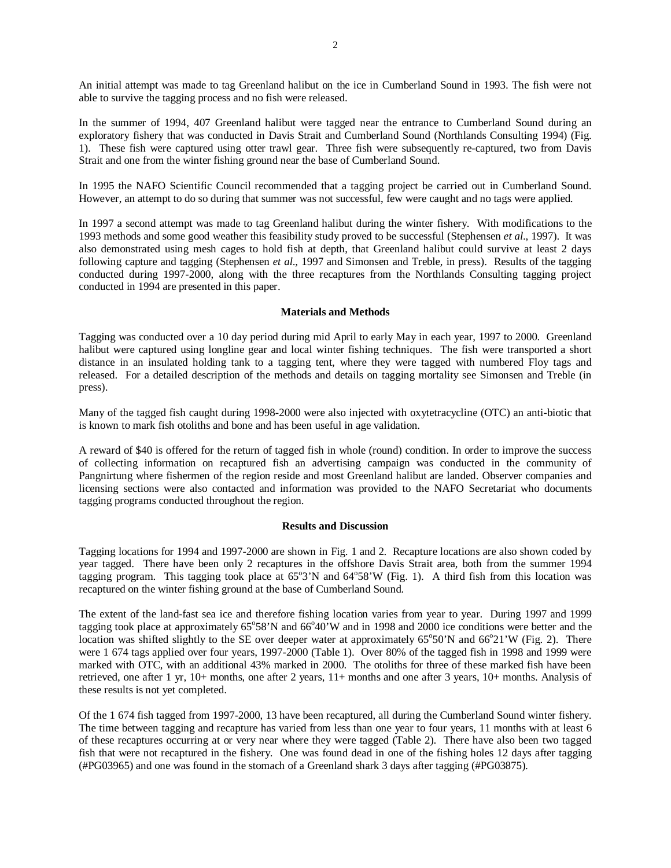An initial attempt was made to tag Greenland halibut on the ice in Cumberland Sound in 1993. The fish were not able to survive the tagging process and no fish were released.

In the summer of 1994, 407 Greenland halibut were tagged near the entrance to Cumberland Sound during an exploratory fishery that was conducted in Davis Strait and Cumberland Sound (Northlands Consulting 1994) (Fig. 1). These fish were captured using otter trawl gear. Three fish were subsequently re-captured, two from Davis Strait and one from the winter fishing ground near the base of Cumberland Sound.

In 1995 the NAFO Scientific Council recommended that a tagging project be carried out in Cumberland Sound. However, an attempt to do so during that summer was not successful, few were caught and no tags were applied.

In 1997 a second attempt was made to tag Greenland halibut during the winter fishery. With modifications to the 1993 methods and some good weather this feasibility study proved to be successful (Stephensen *et al*., 1997). It was also demonstrated using mesh cages to hold fish at depth, that Greenland halibut could survive at least 2 days following capture and tagging (Stephensen *et al*., 1997 and Simonsen and Treble, in press). Results of the tagging conducted during 1997-2000, along with the three recaptures from the Northlands Consulting tagging project conducted in 1994 are presented in this paper.

## **Materials and Methods**

Tagging was conducted over a 10 day period during mid April to early May in each year, 1997 to 2000. Greenland halibut were captured using longline gear and local winter fishing techniques. The fish were transported a short distance in an insulated holding tank to a tagging tent, where they were tagged with numbered Floy tags and released. For a detailed description of the methods and details on tagging mortality see Simonsen and Treble (in press).

Many of the tagged fish caught during 1998-2000 were also injected with oxytetracycline (OTC) an anti-biotic that is known to mark fish otoliths and bone and has been useful in age validation.

A reward of \$40 is offered for the return of tagged fish in whole (round) condition. In order to improve the success of collecting information on recaptured fish an advertising campaign was conducted in the community of Pangnirtung where fishermen of the region reside and most Greenland halibut are landed. Observer companies and licensing sections were also contacted and information was provided to the NAFO Secretariat who documents tagging programs conducted throughout the region.

## **Results and Discussion**

Tagging locations for 1994 and 1997-2000 are shown in Fig. 1 and 2. Recapture locations are also shown coded by year tagged. There have been only 2 recaptures in the offshore Davis Strait area, both from the summer 1994 tagging program. This tagging took place at  $65^{\circ}3'N$  and  $64^{\circ}58'W$  (Fig. 1). A third fish from this location was recaptured on the winter fishing ground at the base of Cumberland Sound.

The extent of the land-fast sea ice and therefore fishing location varies from year to year. During 1997 and 1999 tagging took place at approximately  $65^{\circ}58'N$  and  $66^{\circ}40'W$  and in 1998 and 2000 ice conditions were better and the location was shifted slightly to the SE over deeper water at approximately 65°50'N and 66°21'W (Fig. 2). There were 1 674 tags applied over four years, 1997-2000 (Table 1). Over 80% of the tagged fish in 1998 and 1999 were marked with OTC, with an additional 43% marked in 2000. The otoliths for three of these marked fish have been retrieved, one after 1 yr, 10+ months, one after 2 years, 11+ months and one after 3 years, 10+ months. Analysis of these results is not yet completed.

Of the 1 674 fish tagged from 1997-2000, 13 have been recaptured, all during the Cumberland Sound winter fishery. The time between tagging and recapture has varied from less than one year to four years, 11 months with at least 6 of these recaptures occurring at or very near where they were tagged (Table 2). There have also been two tagged fish that were not recaptured in the fishery. One was found dead in one of the fishing holes 12 days after tagging (#PG03965) and one was found in the stomach of a Greenland shark 3 days after tagging (#PG03875).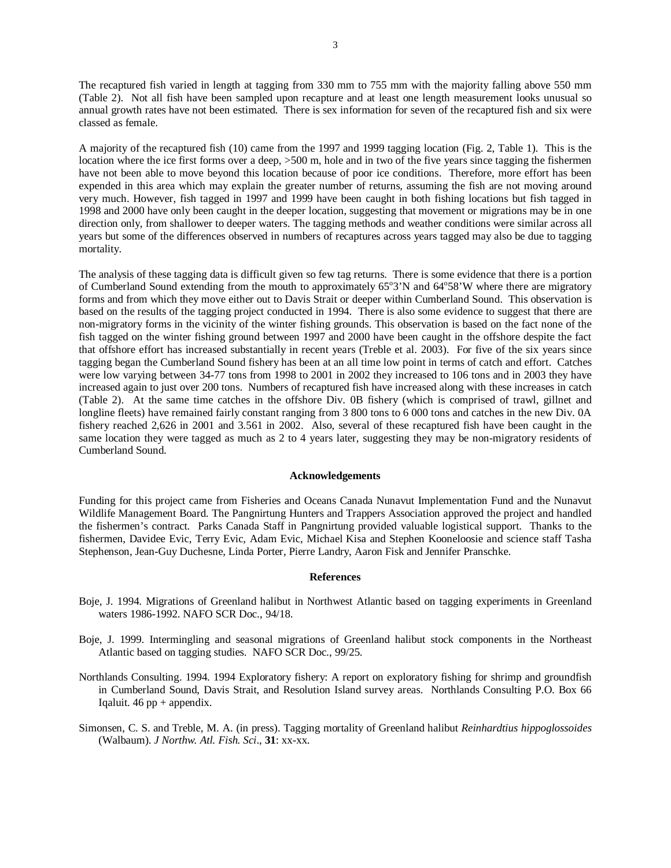The recaptured fish varied in length at tagging from 330 mm to 755 mm with the majority falling above 550 mm (Table 2). Not all fish have been sampled upon recapture and at least one length measurement looks unusual so annual growth rates have not been estimated. There is sex information for seven of the recaptured fish and six were classed as female.

A majority of the recaptured fish (10) came from the 1997 and 1999 tagging location (Fig. 2, Table 1). This is the location where the ice first forms over a deep,  $>500$  m, hole and in two of the five years since tagging the fishermen have not been able to move beyond this location because of poor ice conditions. Therefore, more effort has been expended in this area which may explain the greater number of returns, assuming the fish are not moving around very much. However, fish tagged in 1997 and 1999 have been caught in both fishing locations but fish tagged in 1998 and 2000 have only been caught in the deeper location, suggesting that movement or migrations may be in one direction only, from shallower to deeper waters. The tagging methods and weather conditions were similar across all years but some of the differences observed in numbers of recaptures across years tagged may also be due to tagging mortality.

The analysis of these tagging data is difficult given so few tag returns. There is some evidence that there is a portion of Cumberland Sound extending from the mouth to approximately 65°3'N and 64°58'W where there are migratory forms and from which they move either out to Davis Strait or deeper within Cumberland Sound. This observation is based on the results of the tagging project conducted in 1994. There is also some evidence to suggest that there are non-migratory forms in the vicinity of the winter fishing grounds. This observation is based on the fact none of the fish tagged on the winter fishing ground between 1997 and 2000 have been caught in the offshore despite the fact that offshore effort has increased substantially in recent years (Treble et al. 2003). For five of the six years since tagging began the Cumberland Sound fishery has been at an all time low point in terms of catch and effort. Catches were low varying between 34-77 tons from 1998 to 2001 in 2002 they increased to 106 tons and in 2003 they have increased again to just over 200 tons. Numbers of recaptured fish have increased along with these increases in catch (Table 2). At the same time catches in the offshore Div. 0B fishery (which is comprised of trawl, gillnet and longline fleets) have remained fairly constant ranging from 3 800 tons to 6 000 tons and catches in the new Div. 0A fishery reached 2,626 in 2001 and 3.561 in 2002. Also, several of these recaptured fish have been caught in the same location they were tagged as much as 2 to 4 years later, suggesting they may be non-migratory residents of Cumberland Sound.

## **Acknowledgements**

Funding for this project came from Fisheries and Oceans Canada Nunavut Implementation Fund and the Nunavut Wildlife Management Board. The Pangnirtung Hunters and Trappers Association approved the project and handled the fishermen's contract. Parks Canada Staff in Pangnirtung provided valuable logistical support. Thanks to the fishermen, Davidee Evic, Terry Evic, Adam Evic, Michael Kisa and Stephen Kooneloosie and science staff Tasha Stephenson, Jean-Guy Duchesne, Linda Porter, Pierre Landry, Aaron Fisk and Jennifer Pranschke.

#### **References**

- Boje, J. 1994. Migrations of Greenland halibut in Northwest Atlantic based on tagging experiments in Greenland waters 1986-1992. NAFO SCR Doc., 94/18.
- Boje, J. 1999. Intermingling and seasonal migrations of Greenland halibut stock components in the Northeast Atlantic based on tagging studies. NAFO SCR Doc., 99/25.
- Northlands Consulting. 1994. 1994 Exploratory fishery: A report on exploratory fishing for shrimp and groundfish in Cumberland Sound, Davis Strait, and Resolution Island survey areas. Northlands Consulting P.O. Box 66 Iqaluit.  $46$  pp + appendix.
- Simonsen, C. S. and Treble, M. A. (in press). Tagging mortality of Greenland halibut *Reinhardtius hippoglossoides* (Walbaum). *J Northw. Atl. Fish. Sci*., **31**: xx-xx.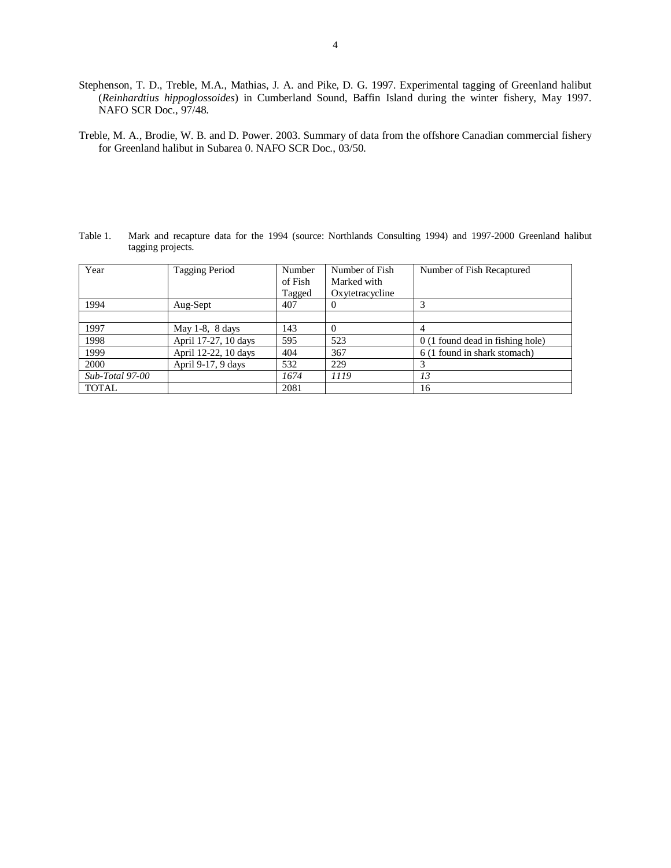- Stephenson, T. D., Treble, M.A., Mathias, J. A. and Pike, D. G. 1997. Experimental tagging of Greenland halibut (*Reinhardtius hippoglossoides*) in Cumberland Sound, Baffin Island during the winter fishery, May 1997. NAFO SCR Doc., 97/48.
- Treble, M. A., Brodie, W. B. and D. Power. 2003. Summary of data from the offshore Canadian commercial fishery for Greenland halibut in Subarea 0. NAFO SCR Doc., 03/50.

Table 1. Mark and recapture data for the 1994 (source: Northlands Consulting 1994) and 1997-2000 Greenland halibut tagging projects.

| Year            | Tagging Period       | Number<br>of Fish<br>Tagged | Number of Fish<br>Marked with<br>Oxytetracycline | Number of Fish Recaptured        |
|-----------------|----------------------|-----------------------------|--------------------------------------------------|----------------------------------|
| 1994            | Aug-Sept             | 407                         | -0                                               | 3                                |
|                 |                      |                             |                                                  |                                  |
| 1997            | May $1-8$ , $8$ days | 143                         | $\Omega$                                         | 4                                |
| 1998            | April 17-27, 10 days | 595                         | 523                                              | 0 (1 found dead in fishing hole) |
| 1999            | April 12-22, 10 days | 404                         | 367                                              | 6 (1 found in shark stomach)     |
| 2000            | April 9-17, 9 days   | 532                         | 229                                              |                                  |
| Sub-Total 97-00 |                      | 1674                        | 1119                                             | 13                               |
| TOTAL           |                      | 2081                        |                                                  | 16                               |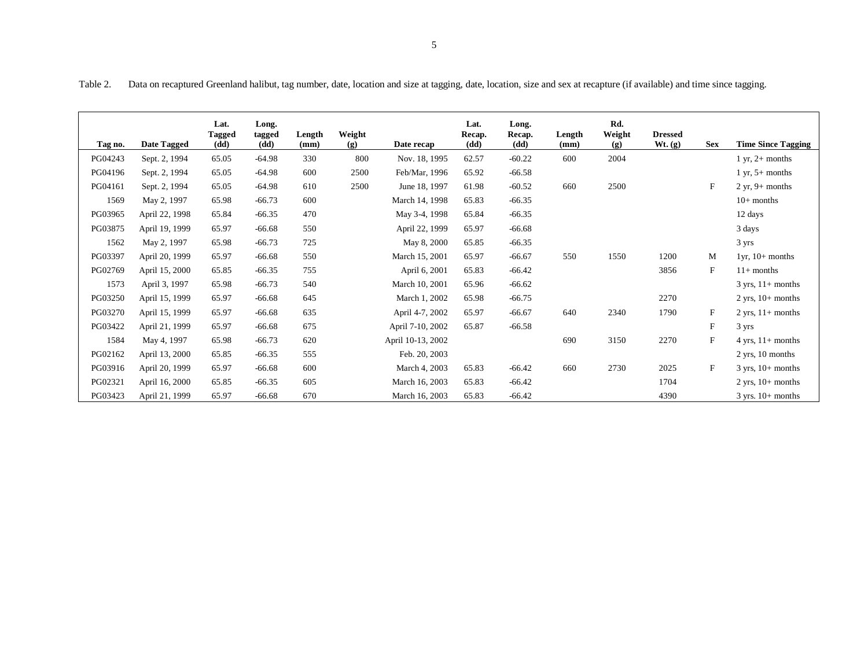Table 2. Data on recaptured Greenland halibut, tag number, date, location and size at tagging, date, location, size and sex at recapture (if available) and time since tagging.

|         |                | Lat.<br><b>Tagged</b> | Long.<br>tagged | Length | Weight |                   | Lat.<br>Recap. | Long.<br>Recap. | Length | Rd.<br>Weight | <b>Dressed</b> |                           |                                     |
|---------|----------------|-----------------------|-----------------|--------|--------|-------------------|----------------|-----------------|--------|---------------|----------------|---------------------------|-------------------------------------|
| Tag no. | Date Tagged    | (dd)                  | (dd)            | (mm)   | (g)    | Date recap        | (dd)           | (dd)            | (mm)   | (g)           | Wt. (g)        | <b>Sex</b>                | <b>Time Since Tagging</b>           |
| PG04243 | Sept. 2, 1994  | 65.05                 | $-64.98$        | 330    | 800    | Nov. 18, 1995     | 62.57          | $-60.22$        | 600    | 2004          |                |                           | $1 \text{ yr}, 2+$ months           |
| PG04196 | Sept. 2, 1994  | 65.05                 | $-64.98$        | 600    | 2500   | Feb/Mar, 1996     | 65.92          | $-66.58$        |        |               |                |                           | 1 yr, $5+$ months                   |
| PG04161 | Sept. 2, 1994  | 65.05                 | $-64.98$        | 610    | 2500   | June 18, 1997     | 61.98          | $-60.52$        | 660    | 2500          |                | $_{\rm F}$                | $2 yr, 9+ months$                   |
| 1569    | May 2, 1997    | 65.98                 | $-66.73$        | 600    |        | March 14, 1998    | 65.83          | $-66.35$        |        |               |                |                           | $10+$ months                        |
| PG03965 | April 22, 1998 | 65.84                 | $-66.35$        | 470    |        | May 3-4, 1998     | 65.84          | $-66.35$        |        |               |                |                           | 12 days                             |
| PG03875 | April 19, 1999 | 65.97                 | $-66.68$        | 550    |        | April 22, 1999    | 65.97          | $-66.68$        |        |               |                |                           | 3 days                              |
| 1562    | May 2, 1997    | 65.98                 | $-66.73$        | 725    |        | May 8, 2000       | 65.85          | $-66.35$        |        |               |                |                           | 3 yrs                               |
| PG03397 | April 20, 1999 | 65.97                 | $-66.68$        | 550    |        | March 15, 2001    | 65.97          | $-66.67$        | 550    | 1550          | 1200           | M                         | $1yr$ , $10+$ months                |
| PG02769 | April 15, 2000 | 65.85                 | $-66.35$        | 755    |        | April 6, 2001     | 65.83          | $-66.42$        |        |               | 3856           | $\mathbf{F}$              | $11+$ months                        |
| 1573    | April 3, 1997  | 65.98                 | $-66.73$        | 540    |        | March 10, 2001    | 65.96          | $-66.62$        |        |               |                |                           | $3 \text{ yrs}, 11 + \text{months}$ |
| PG03250 | April 15, 1999 | 65.97                 | $-66.68$        | 645    |        | March 1, 2002     | 65.98          | $-66.75$        |        |               | 2270           |                           | $2 \text{ yrs}, 10+ \text{ months}$ |
| PG03270 | April 15, 1999 | 65.97                 | $-66.68$        | 635    |        | April 4-7, 2002   | 65.97          | $-66.67$        | 640    | 2340          | 1790           | $\mathbf{F}$              | $2 \text{ yrs}, 11 + \text{months}$ |
| PG03422 | April 21, 1999 | 65.97                 | $-66.68$        | 675    |        | April 7-10, 2002  | 65.87          | $-66.58$        |        |               |                | $\boldsymbol{\mathrm{F}}$ | 3 yrs                               |
| 1584    | May 4, 1997    | 65.98                 | $-66.73$        | 620    |        | April 10-13, 2002 |                |                 | 690    | 3150          | 2270           | $\mathbf{F}$              | $4 \text{ yrs}, 11 + \text{months}$ |
| PG02162 | April 13, 2000 | 65.85                 | $-66.35$        | 555    |        | Feb. 20, 2003     |                |                 |        |               |                |                           | $2 \text{ yrs}, 10 \text{ months}$  |
| PG03916 | April 20, 1999 | 65.97                 | $-66.68$        | 600    |        | March 4, 2003     | 65.83          | $-66.42$        | 660    | 2730          | 2025           | $\mathbf{F}$              | $3 \text{ yrs}, 10+ \text{ months}$ |
| PG02321 | April 16, 2000 | 65.85                 | $-66.35$        | 605    |        | March 16, 2003    | 65.83          | $-66.42$        |        |               | 1704           |                           | $2 \text{ yrs}, 10+ \text{ months}$ |
| PG03423 | April 21, 1999 | 65.97                 | $-66.68$        | 670    |        | March 16, 2003    | 65.83          | $-66.42$        |        |               | 4390           |                           | $3$ yrs. $10+$ months               |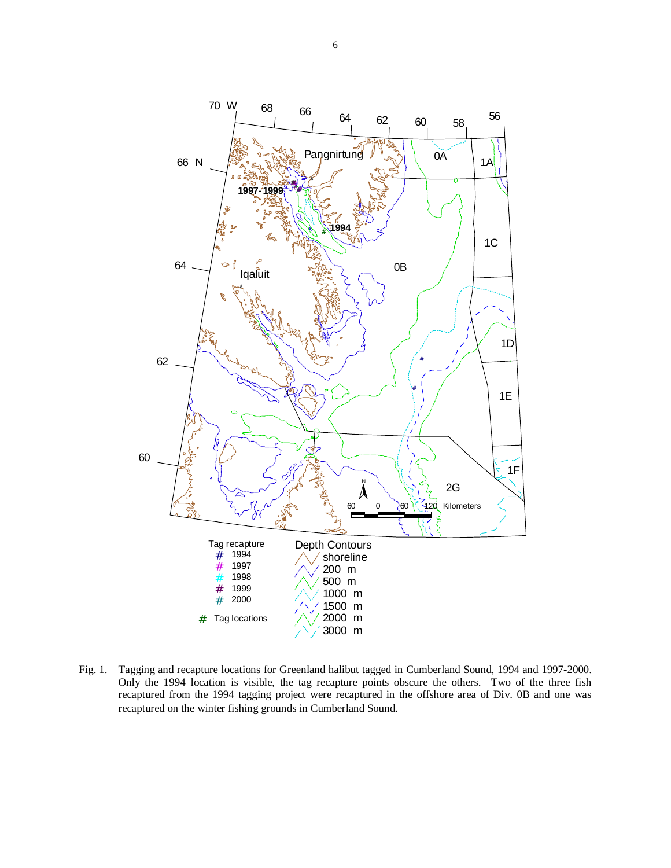

Fig. 1. Tagging and recapture locations for Greenland halibut tagged in Cumberland Sound, 1994 and 1997-2000. Only the 1994 location is visible, the tag recapture points obscure the others. Two of the three fish recaptured from the 1994 tagging project were recaptured in the offshore area of Div. 0B and one was recaptured on the winter fishing grounds in Cumberland Sound.